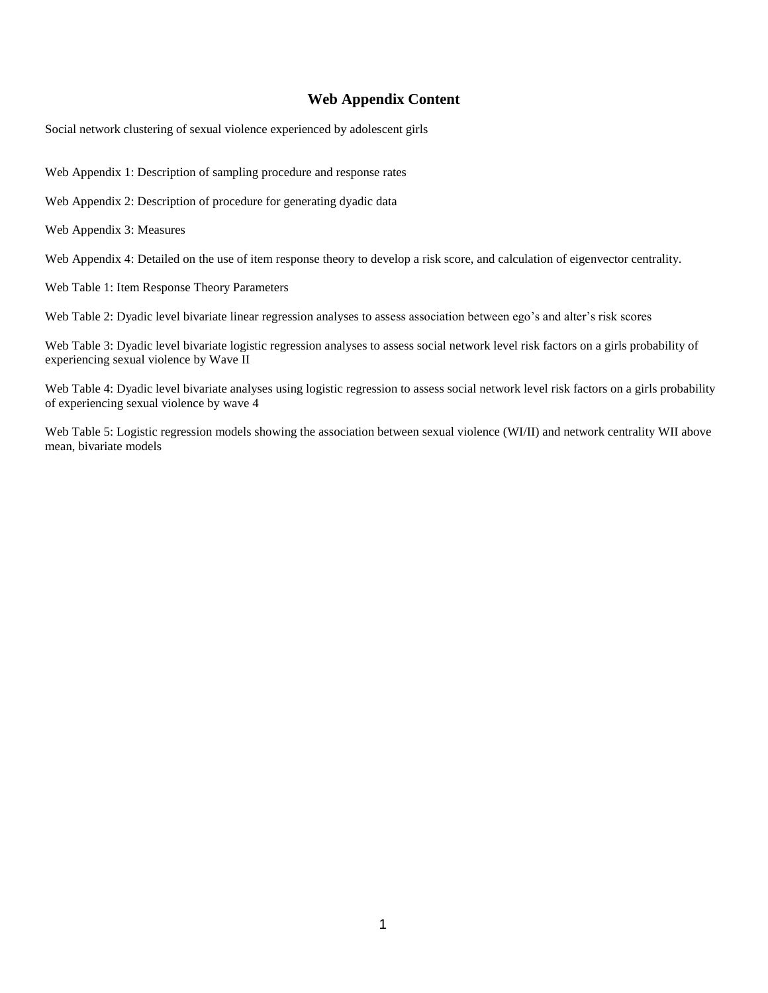# **Web Appendix Content**

Social network clustering of sexual violence experienced by adolescent girls

Web Appendix 1: Description of sampling procedure and response rates

Web Appendix 2: Description of procedure for generating dyadic data

Web Appendix 3: Measures

Web Appendix 4: Detailed on the use of item response theory to develop a risk score, and calculation of eigenvector centrality.

Web Table 1: Item Response Theory Parameters

Web Table 2: Dyadic level bivariate linear regression analyses to assess association between ego's and alter's risk scores

Web Table 3: Dyadic level bivariate logistic regression analyses to assess social network level risk factors on a girls probability of experiencing sexual violence by Wave II

Web Table 4: Dyadic level bivariate analyses using logistic regression to assess social network level risk factors on a girls probability of experiencing sexual violence by wave 4

Web Table 5: Logistic regression models showing the association between sexual violence (WI/II) and network centrality WII above mean, bivariate models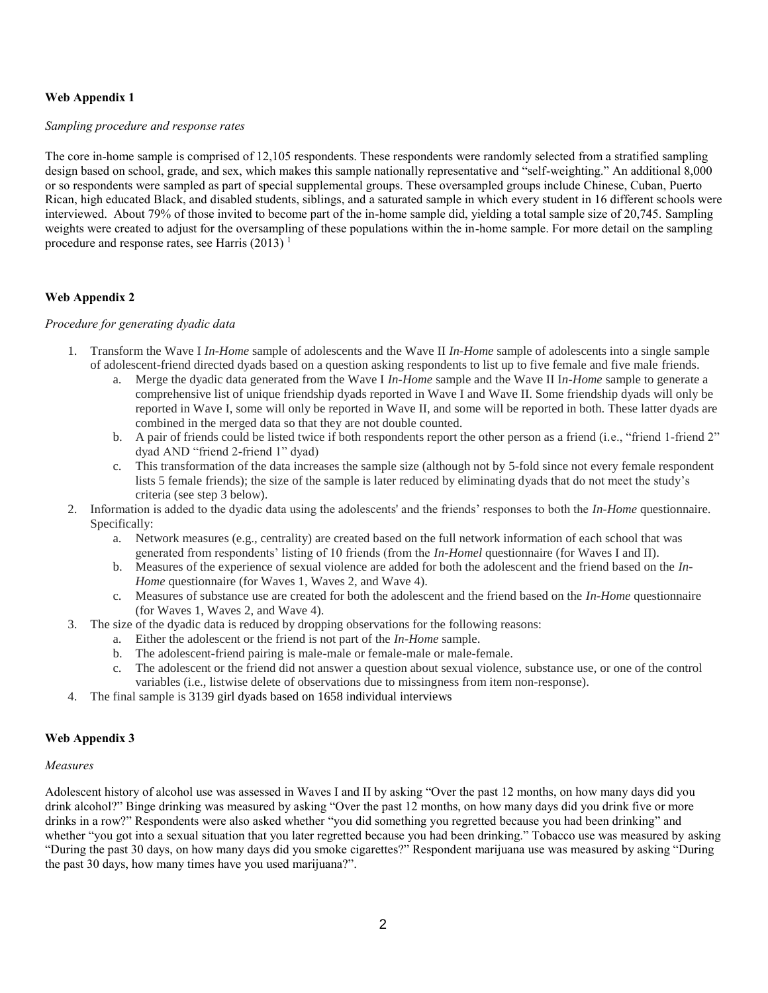## **Web Appendix 1**

#### *Sampling procedure and response rates*

The core in-home sample is comprised of 12,105 respondents. These respondents were randomly selected from a stratified sampling design based on school, grade, and sex, which makes this sample nationally representative and "self-weighting." An additional 8,000 or so respondents were sampled as part of special supplemental groups. These oversampled groups include Chinese, Cuban, Puerto Rican, high educated Black, and disabled students, siblings, and a saturated sample in which every student in 16 different schools were interviewed. About 79% of those invited to become part of the in-home sample did, yielding a total sample size of 20,745. Sampling weights were created to adjust for the oversampling of these populations within the in-home sample. For more detail on the sampling procedure and response rates, see Harris  $(2013)^1$ 

## **Web Appendix 2**

### *Procedure for generating dyadic data*

- 1. Transform the Wave I *In-Home* sample of adolescents and the Wave II *In-Home* sample of adolescents into a single sample of adolescent-friend directed dyads based on a question asking respondents to list up to five female and five male friends.
	- a. Merge the dyadic data generated from the Wave I *In-Home* sample and the Wave II I*n-Home* sample to generate a comprehensive list of unique friendship dyads reported in Wave I and Wave II. Some friendship dyads will only be reported in Wave I, some will only be reported in Wave II, and some will be reported in both. These latter dyads are combined in the merged data so that they are not double counted.
	- b. A pair of friends could be listed twice if both respondents report the other person as a friend (i.e., "friend 1-friend 2" dyad AND "friend 2-friend 1" dyad)
	- c. This transformation of the data increases the sample size (although not by 5-fold since not every female respondent lists 5 female friends); the size of the sample is later reduced by eliminating dyads that do not meet the study's criteria (see step 3 below).
- 2. Information is added to the dyadic data using the adolescents' and the friends' responses to both the *In-Home* questionnaire. Specifically:
	- a. Network measures (e.g., centrality) are created based on the full network information of each school that was generated from respondents' listing of 10 friends (from the *In-Homel* questionnaire (for Waves I and II).
	- b. Measures of the experience of sexual violence are added for both the adolescent and the friend based on the *In-Home* questionnaire (for Waves 1, Waves 2, and Wave 4).
	- c. Measures of substance use are created for both the adolescent and the friend based on the *In-Home* questionnaire (for Waves 1, Waves 2, and Wave 4).
- 3. The size of the dyadic data is reduced by dropping observations for the following reasons:
	- a. Either the adolescent or the friend is not part of the *In-Home* sample.
	- b. The adolescent-friend pairing is male-male or female-male or male-female.
	- c. The adolescent or the friend did not answer a question about sexual violence, substance use, or one of the control variables (i.e., listwise delete of observations due to missingness from item non-response).
- 4. The final sample is 3139 girl dyads based on 1658 individual interviews

### **Web Appendix 3**

#### *Measures*

Adolescent history of alcohol use was assessed in Waves I and II by asking "Over the past 12 months, on how many days did you drink alcohol?" Binge drinking was measured by asking "Over the past 12 months, on how many days did you drink five or more drinks in a row?" Respondents were also asked whether "you did something you regretted because you had been drinking" and whether "you got into a sexual situation that you later regretted because you had been drinking." Tobacco use was measured by asking "During the past 30 days, on how many days did you smoke cigarettes?" Respondent marijuana use was measured by asking "During the past 30 days, how many times have you used marijuana?".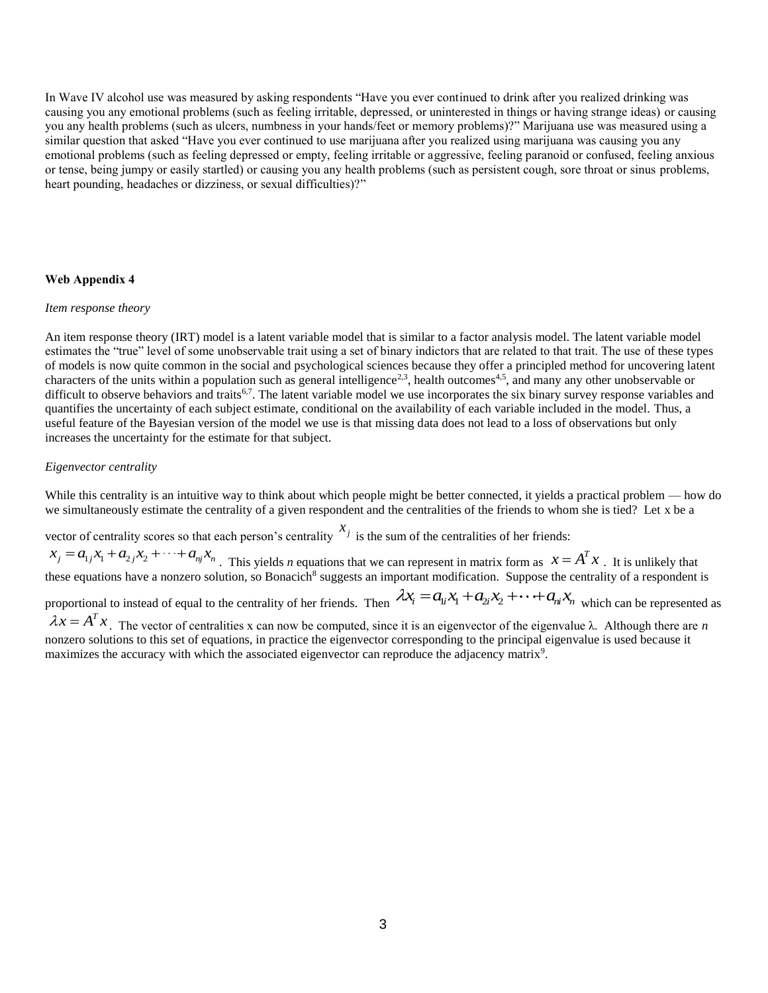In Wave IV alcohol use was measured by asking respondents "Have you ever continued to drink after you realized drinking was causing you any emotional problems (such as feeling irritable, depressed, or uninterested in things or having strange ideas) or causing you any health problems (such as ulcers, numbness in your hands/feet or memory problems)?" Marijuana use was measured using a similar question that asked "Have you ever continued to use marijuana after you realized using marijuana was causing you any emotional problems (such as feeling depressed or empty, feeling irritable or aggressive, feeling paranoid or confused, feeling anxious or tense, being jumpy or easily startled) or causing you any health problems (such as persistent cough, sore throat or sinus problems, heart pounding, headaches or dizziness, or sexual difficulties)?"

### **Web Appendix 4**

#### *Item response theory*

An item response theory (IRT) model is a latent variable model that is similar to a factor analysis model. The latent variable model estimates the "true" level of some unobservable trait using a set of binary indictors that are related to that trait. The use of these types of models is now quite common in the social and psychological sciences because they offer a principled method for uncovering latent characters of the units within a population such as general intelligence<sup>2,3</sup>, health outcomes<sup>4,5</sup>, and many any other unobservable or difficult to observe behaviors and traits<sup>6,7</sup>. The latent variable model we use incorporates the six binary survey response variables and quantifies the uncertainty of each subject estimate, conditional on the availability of each variable included in the model. Thus, a useful feature of the Bayesian version of the model we use is that missing data does not lead to a loss of observations but only increases the uncertainty for the estimate for that subject.

### *Eigenvector centrality*

While this centrality is an intuitive way to think about which people might be better connected, it yields a practical problem — how do we simultaneously estimate the centrality of a given respondent and the centralities of the friends to whom she is tied? Let x be a

vector of centrality scores so that each person's centrality  $x_j$  is the sum of the centralities of her friends:

 $x_j = a_{1j}x_1 + a_{2j}x_2 + \cdots + a_{nj}x_n$ . This yields *n* equations that we can represent in matrix form as  $x = A^T x$ . It is unlikely that these equations have a nonzero solution, so Bonacich<sup>8</sup> suggests an important modification. Suppose the centrality of a respondent is

proportional to instead of equal to the centrality of her friends. Then  $\lambda x_i = a_{i}x_1 + a_{i}x_2 + \cdots + a_{ni}x_n$  which can be represented as

 $\lambda x = A^T x$ . The vector of centralities x can now be computed, since it is an eigenvector of the eigenvalue  $\lambda$ . Although there are *n* nonzero solutions to this set of equations, in practice the eigenvector corresponding to the principal eigenvalue is used because it maximizes the accuracy with which the associated eigenvector can reproduce the adjacency matrix<sup>9</sup>.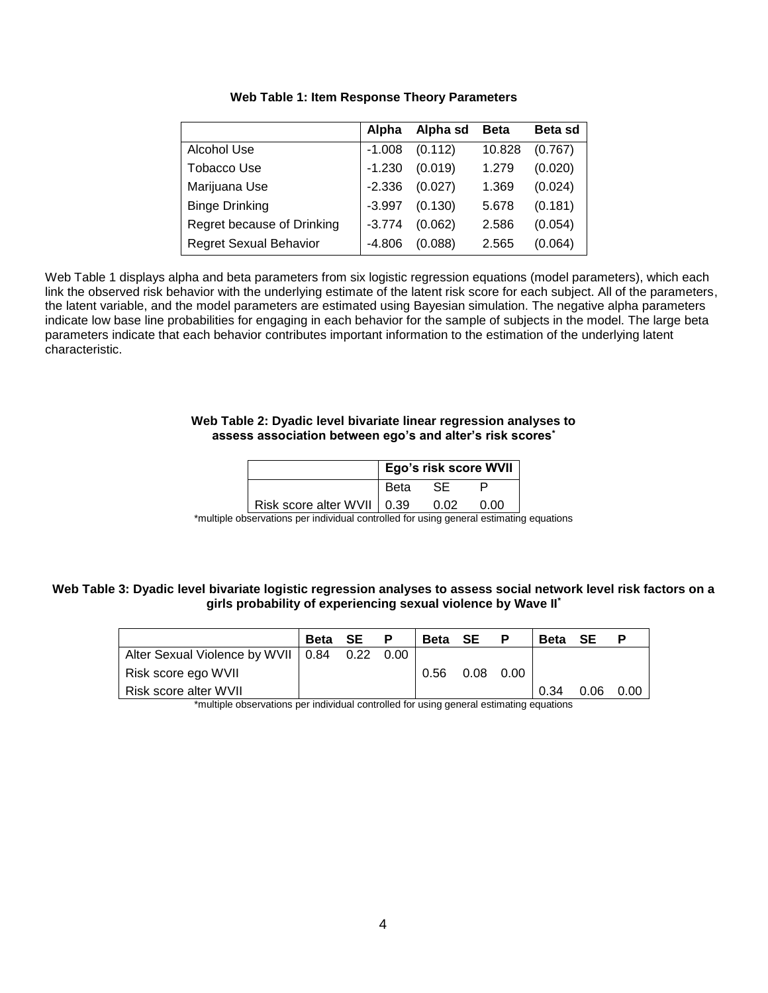|                            | Alpha    | Alpha sd | <b>Beta</b> | <b>Beta sd</b> |
|----------------------------|----------|----------|-------------|----------------|
| Alcohol Use                | $-1.008$ | (0.112)  | 10.828      | (0.767)        |
| Tobacco Use                | $-1.230$ | (0.019)  | 1.279       | (0.020)        |
| Marijuana Use              | $-2.336$ | (0.027)  | 1.369       | (0.024)        |
| <b>Binge Drinking</b>      | $-3.997$ | (0.130)  | 5.678       | (0.181)        |
| Regret because of Drinking | $-3.774$ | (0.062)  | 2.586       | (0.054)        |
| Regret Sexual Behavior     | $-4.806$ | (0.088)  | 2.565       | (0.064)        |

# **Web Table 1: Item Response Theory Parameters**

Web Table 1 displays alpha and beta parameters from six logistic regression equations (model parameters), which each link the observed risk behavior with the underlying estimate of the latent risk score for each subject. All of the parameters, the latent variable, and the model parameters are estimated using Bayesian simulation. The negative alpha parameters indicate low base line probabilities for engaging in each behavior for the sample of subjects in the model. The large beta parameters indicate that each behavior contributes important information to the estimation of the underlying latent characteristic.

## **Web Table 2: Dyadic level bivariate linear regression analyses to assess association between ego's and alter's risk scores\***

|                              | Ego's risk score WVII |  |  |  |
|------------------------------|-----------------------|--|--|--|
|                              | <b>Beta</b>           |  |  |  |
| Risk score alter WVII   0.39 |                       |  |  |  |

\*multiple observations per individual controlled for using general estimating equations

## **Web Table 3: Dyadic level bivariate logistic regression analyses to assess social network level risk factors on a girls probability of experiencing sexual violence by Wave II\***

|                                           | <b>Beta</b> SE | P      | Beta SE |             | P | <b>Beta</b> | SE   | Р    |
|-------------------------------------------|----------------|--------|---------|-------------|---|-------------|------|------|
| Alter Sexual Violence by WVII   0.84 0.22 |                | - 0.00 |         |             |   |             |      |      |
| ∣ Risk score ego WVII                     |                |        | 0.56    | $0.08$ 0.00 |   |             |      |      |
| l Risk score alter WVII.                  |                |        |         |             |   | 0.34        | 0.06 | 0.00 |

\*multiple observations per individual controlled for using general estimating equations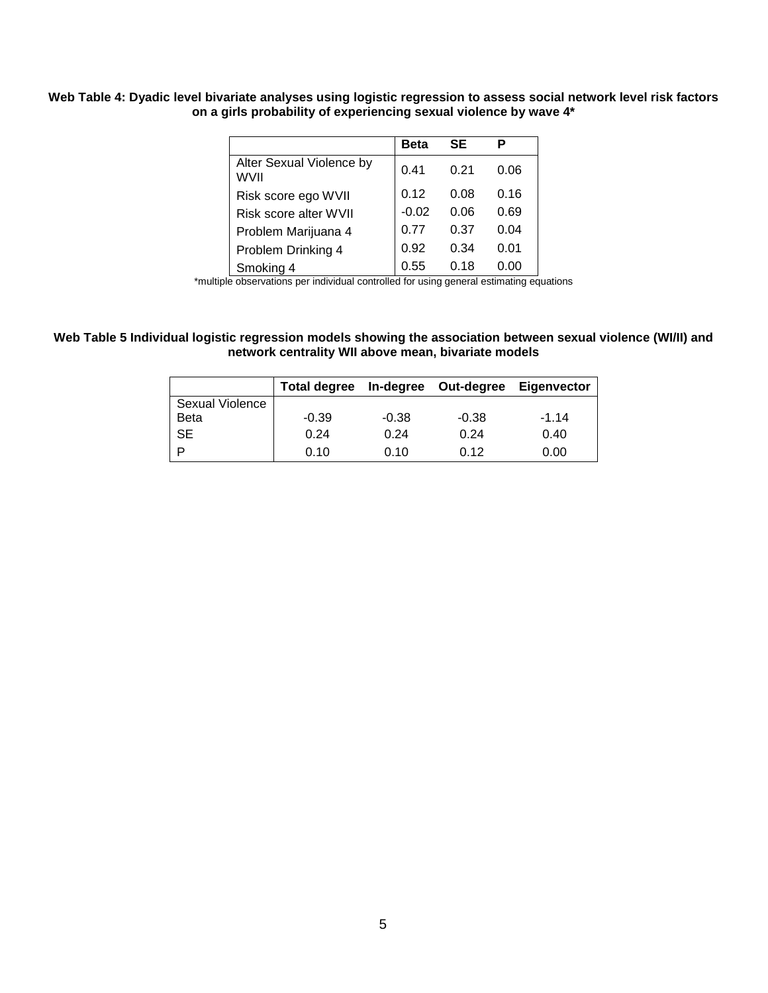# **Web Table 4: Dyadic level bivariate analyses using logistic regression to assess social network level risk factors on a girls probability of experiencing sexual violence by wave 4\***

|                                         | Beta    | SE   | Р    |  |  |
|-----------------------------------------|---------|------|------|--|--|
| Alter Sexual Violence by<br><b>WVII</b> | 0.41    | 0.21 | 0.06 |  |  |
| Risk score ego WVII                     | 0.12    | 0.08 | 0.16 |  |  |
| Risk score alter WVII                   | $-0.02$ | 0.06 | 0.69 |  |  |
| Problem Marijuana 4                     | 0.77    | 0.37 | 0.04 |  |  |
| Problem Drinking 4                      | 0.92    | 0.34 | 0.01 |  |  |
| Smoking 4                               | 0.55    | 0.18 | ი იი |  |  |

\*multiple observations per individual controlled for using general estimating equations

## **Web Table 5 Individual logistic regression models showing the association between sexual violence (WI/II) and network centrality WII above mean, bivariate models**

|                 | Total degree In-degree Out-degree |         |         | Eigenvector |
|-----------------|-----------------------------------|---------|---------|-------------|
| Sexual Violence |                                   |         |         |             |
| <b>Beta</b>     | $-0.39$                           | $-0.38$ | $-0.38$ | $-1.14$     |
| <b>SE</b>       | 0.24                              | 0.24    | 0.24    | 0.40        |
|                 | 0.10                              | 0.10    | 0.12    | 0.00        |